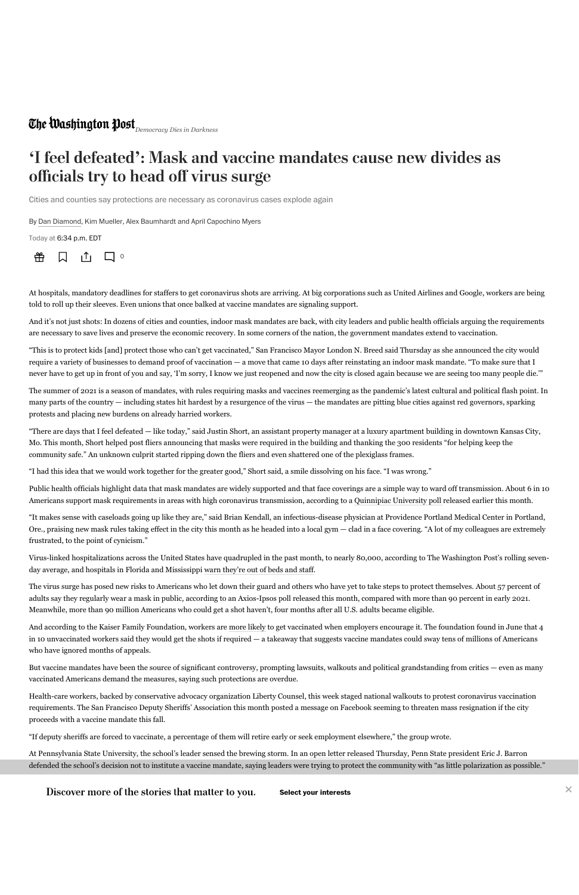# *Democracy Dies in Darkness*

## 'I feel defeated': Mask and vaccine mandates cause new divides as officials try to head off virus surge

Cities and counties say protections are necessary as coronavirus cases explode again

By Dan Diamond, Kim Mueller, Alex Baumhardt and April Capochino Myers

Today at 6:34 p.m. EDT

At hospitals, mandatory deadlines for staffers to get coronavirus shots are arriving. At big corporations such as United Airlines and Google, workers are being told to roll up their sleeves. Even unions that once balked at vaccine mandates are signaling support.

And it's not just shots: In dozens of cities and counties, indoor mask mandates are back, with city leaders and public health officials arguing the requirements are necessary to save lives and preserve the economic recovery. In some corners of the nation, the government mandates extend to vaccination.

"This is to protect kids [and] protect those who can't get vaccinated," San Francisco Mayor London N. Breed said Thursday as she announced the city would require a variety of businesses to demand proof of vaccination — a move that came 10 days after reinstating an indoor mask mandate. "To make sure that I never have to get up in front of you and say, 'I'm sorry, I know we just reopened and now the city is closed again because we are seeing too many people die.'"

The summer of 2021 is a season of mandates, with rules requiring masks and vaccines reemerging as the pandemic's latest cultural and political flash point. In many parts of the country — including states hit hardest by a resurgence of the virus — the mandates are pitting blue cities against red governors, sparking protests and placing new burdens on already harried workers.

"There are days that I feel defeated — like today," said Justin Short, an assistant property manager at a luxury apartment building in downtown Kansas City, Mo. This month, Short helped post fliers announcing that masks were required in the building and thanking the 300 residents "for helping keep the community safe." An unknown culprit started ripping down the fliers and even shattered one of the plexiglass frames.

"I had this idea that we would work together for the greater good," Short said, a smile dissolving on his face. "I was wrong."

At Pennsylvania State University, the school's leader sensed the brewing storm. In an open letter released Thursday, Penn State president Eric J. Barron defended the school's decision not to institute a vaccine mandate, saying leaders were trying to protect the community with "as little polarization as possible."

Discover more of the stories that matter to you.

Public health officials highlight data that mask mandates are widely supported and that face coverings are a simple way to ward off transmission. About 6 in 10 Americans support mask requirements in areas with high coronavirus transmission, according to a Quinnipiac University poll released earlier this month.

"It makes sense with caseloads going up like they are," said Brian Kendall, an infectious-disease physician at Providence Portland Medical Center in Portland, Ore., praising new mask rules taking effect in the city this month as he headed into a local gym — clad in a face covering. "A lot of my colleagues are extremely frustrated, to the point of cynicism."

Virus-linked hospitalizations across the United States have quadrupled in the past month, to nearly 80,000, according to The Washington Post's rolling sevenday average, and hospitals in Florida and Mississippi warn they're out of beds and staff.

The virus surge has posed new risks to Americans who let down their guard and others who have yet to take steps to protect themselves. About 57 percent of adults say they regularly wear a mask in public, according to an Axios-Ipsos poll released this month, compared with more than 90 percent in early 2021. Meanwhile, more than 90 million Americans who could get a shot haven't, four months after all U.S. adults became eligible.

And according to the Kaiser Family Foundation, workers are more likely to get vaccinated when employers encourage it. The foundation found in June that 4 in 10 unvaccinated workers said they would get the shots if required — a takeaway that suggests vaccine mandates could sway tens of millions of Americans who have ignored months of appeals.

But vaccine mandates have been the source of significant controversy, prompting lawsuits, walkouts and political grandstanding from critics — even as many vaccinated Americans demand the measures, saying such protections are overdue.

Health-care workers, backed by conservative advocacy organization Liberty Counsel, this week staged national walkouts to protest coronavirus vaccination requirements. The San Francisco Deputy Sheriffs' Association this month posted a message on Facebook seeming to threaten mass resignation if the city proceeds with a vaccine mandate this fall.

"If deputy sheriffs are forced to vaccinate, a percentage of them will retire early or seek employment elsewhere," the group wrote.



**Select your interests**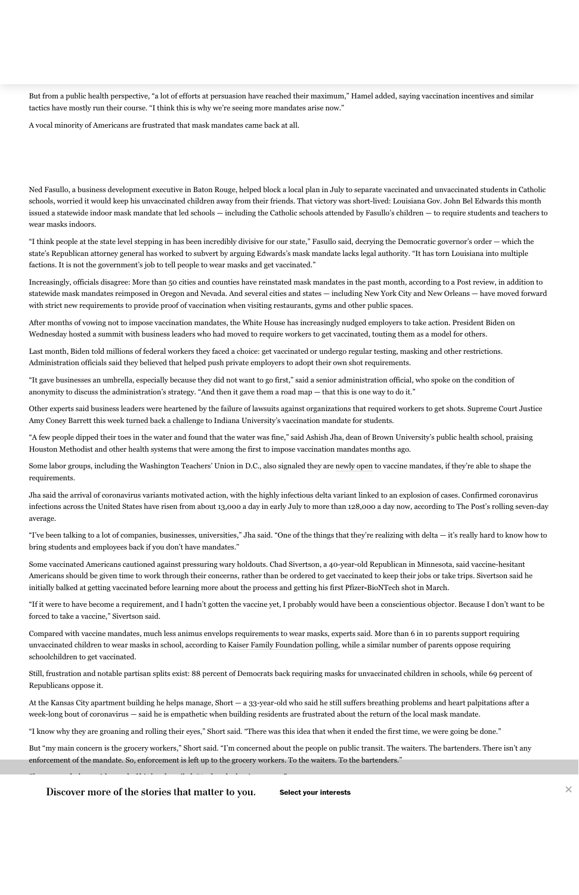But from a public health perspective, "a lot of efforts at persuasion have reached their maximum," Hamel added, saying vaccination incentives and similar tactics have mostly run their course. "I think this is why we're seeing more mandates arise now."

A vocal minority of Americans are frustrated that mask mandates came back at all.

Ned Fasullo, a business development executive in Baton Rouge, helped block a local plan in July to separate vaccinated and unvaccinated students in Catholic schools, worried it would keep his unvaccinated children away from their friends. That victory was short-lived: Louisiana Gov. John Bel Edwards this month issued a statewide indoor mask mandate that led schools — including the Catholic schools attended by Fasullo's children — to require students and teachers to wear masks indoors.

"I think people at the state level stepping in has been incredibly divisive for our state," Fasullo said, decrying the Democratic governor's order — which the state's Republican attorney general has worked to subvert by arguing Edwards's mask mandate lacks legal authority. "It has torn Louisiana into multiple factions. It is not the government's job to tell people to wear masks and get vaccinated."

Increasingly, officials disagree: More than 50 cities and counties have reinstated mask mandates in the past month, according to a Post review, in addition to statewide mask mandates reimposed in Oregon and Nevada. And several cities and states — including New York City and New Orleans — have moved forward with strict new requirements to provide proof of vaccination when visiting restaurants, gyms and other public spaces.

After months of vowing not to impose vaccination mandates, the White House has increasingly nudged employers to take action. President Biden on Wednesday hosted a summit with business leaders who had moved to require workers to get vaccinated, touting them as a model for others.

Last month, Biden told millions of federal workers they faced a choice: get vaccinated or undergo regular testing, masking and other restrictions. Administration officials said they believed that helped push private employers to adopt their own shot requirements.

"It gave businesses an umbrella, especially because they did not want to go first," said a senior administration official, who spoke on the condition of anonymity to discuss the administration's strategy. "And then it gave them a road map — that this is one way to do it."

Other experts said business leaders were heartened by the failure of lawsuits against organizations that required workers to get shots. Supreme Court Justice Amy Coney Barrett this week turned back a challenge to Indiana University's vaccination mandate for students.

But "my main concern is the grocery workers," Short said. "I'm concerned about the people on public transit. The waiters. The bartenders. There isn't any enforcement of the mandate. So, enforcement is left up to the grocery workers. To the waiters. To the bartenders."

Discover more of the stories that matter to you.

"A few people dipped their toes in the water and found that the water was fine," said Ashish Jha, dean of Brown University's public health school, praising Houston Methodist and other health systems that were among the first to impose vaccination mandates months ago.

Some labor groups, including the Washington Teachers' Union in D.C., also signaled they are newly open to vaccine mandates, if they're able to shape the requirements.

Jha said the arrival of coronavirus variants motivated action, with the highly infectious delta variant linked to an explosion of cases. Confirmed coronavirus infections across the United States have risen from about 13,000 a day in early July to more than 128,000 a day now, according to The Post's rolling seven-day average.

"I've been talking to a lot of companies, businesses, universities," Jha said. "One of the things that they're realizing with delta — it's really hard to know how to bring students and employees back if you don't have mandates."

Some vaccinated Americans cautioned against pressuring wary holdouts. Chad Sivertson, a 40-year-old Republican in Minnesota, said vaccine-hesitant Americans should be given time to work through their concerns, rather than be ordered to get vaccinated to keep their jobs or take trips. Sivertson said he initially balked at getting vaccinated before learning more about the process and getting his first Pfizer**-**BioNTech shot in March.

"If it were to have become a requirement, and I hadn't gotten the vaccine yet, I probably would have been a conscientious objector. Because I don't want to be forced to take a vaccine," Sivertson said.

Compared with vaccine mandates, much less animus envelops requirements to wear masks, experts said. More than 6 in 10 parents support requiring unvaccinated children to wear masks in school, according to Kaiser Family Foundation polling, while a similar number of parents oppose requiring schoolchildren to get vaccinated.

Still, frustration and notable partisan splits exist: 88 percent of Democrats back requiring masks for unvaccinated children in schools, while 69 percent of Republicans oppose it.

At the Kansas City apartment building he helps manage, Short — a 33-year-old who said he still suffers breathing problems and heart palpitations after a week-long bout of coronavirus — said he is empathetic when building residents are frustrated about the return of the local mask mandate.

"I know why they are groaning and rolling their eyes," Short said. "There was this idea that when it ended the first time, we were going be done."

Short paused, then, with a nod of his head, smiled. "And to the leasing agents."

**Select your interests**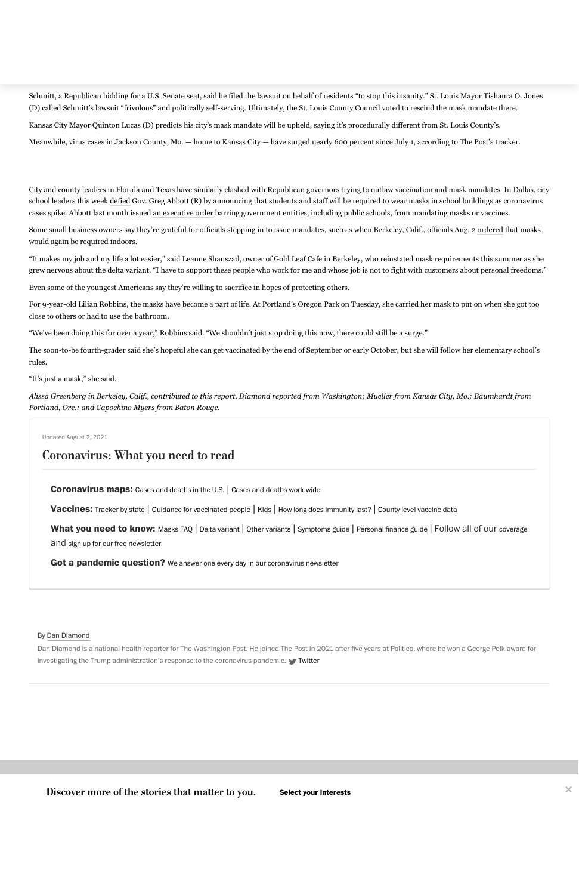Schmitt, a Republican bidding for a U.S. Senate seat, said he filed the lawsuit on behalf of residents "to stop this insanity." St. Louis Mayor Tishaura O. Jones (D) called Schmitt's lawsuit "frivolous" and politically self-serving. Ultimately, the St. Louis County Council voted to rescind the mask mandate there.

Kansas City Mayor Quinton Lucas (D) predicts his city's mask mandate will be upheld, saying it's procedurally different from St. Louis County's.

Meanwhile, virus cases in Jackson County, Mo. — home to Kansas City — have surged nearly 600 percent since July 1, according to The Post's tracker.

City and county leaders in Florida and Texas have similarly clashed with Republican governors trying to outlaw vaccination and mask mandates. In Dallas, city school leaders this week defied Gov. Greg Abbott (R) by announcing that students and staff will be required to wear masks in school buildings as coronavirus cases spike. Abbott last month issued an executive order barring government entities, including public schools, from mandating masks or vaccines.

Some small business owners say they're grateful for officials stepping in to issue mandates, such as when Berkeley, Calif., officials Aug. 2 ordered that masks would again be required indoors.

"It makes my job and my life a lot easier," said Leanne Shanszad, owner of Gold Leaf Cafe in Berkeley, who reinstated mask requirements this summer as she grew nervous about the delta variant. "I have to support these people who work for me and whose job is not to fight with customers about personal freedoms."

**What you need to know:** Masks FAQ | Delta variant | Other variants | Symptoms guide | Personal finance guide | Follow all of our coverage and sign up for our free newsletter

**Got a pandemic question?** We answer one every day in our coronavirus newsletter

Even some of the youngest Americans say they're willing to sacrifice in hopes of protecting others.

For 9-year-old Lilian Robbins, the masks have become a part of life. At Portland's Oregon Park on Tuesday, she carried her mask to put on when she got too close to others or had to use the bathroom.

"We've been doing this for over a year," Robbins said. "We shouldn't just stop doing this now, there could still be a surge."

The soon-to-be fourth-grader said she's hopeful she can get vaccinated by the end of September or early October, but she will follow her elementary school's rules.

"It's just a mask," she said.

*Alissa Greenberg in Berkeley, Calif., contributed to this report. Diamond reported from Washington; Mueller from Kansas City, Mo.; Baumhardt from Portland, Ore.; and Capochino Myers from Baton Rouge.*

#### By Dan Diamond

Dan Diamond is a national health reporter for The Washington Post. He joined The Post in 2021 after five years at Politico, where he won a George Polk award for

### Discover more of the stories that matter to you.

Updated August 2, 2021

## Coronavirus: What you need to read

**Coronavirus maps:** Cases and deaths in the U.S. | Cases and deaths worldwide

**Vaccines:** Tracker by state | Guidance for vaccinated people | Kids | How long does immunity last? | County-level vaccine data

**Select your interests**

 $\times$